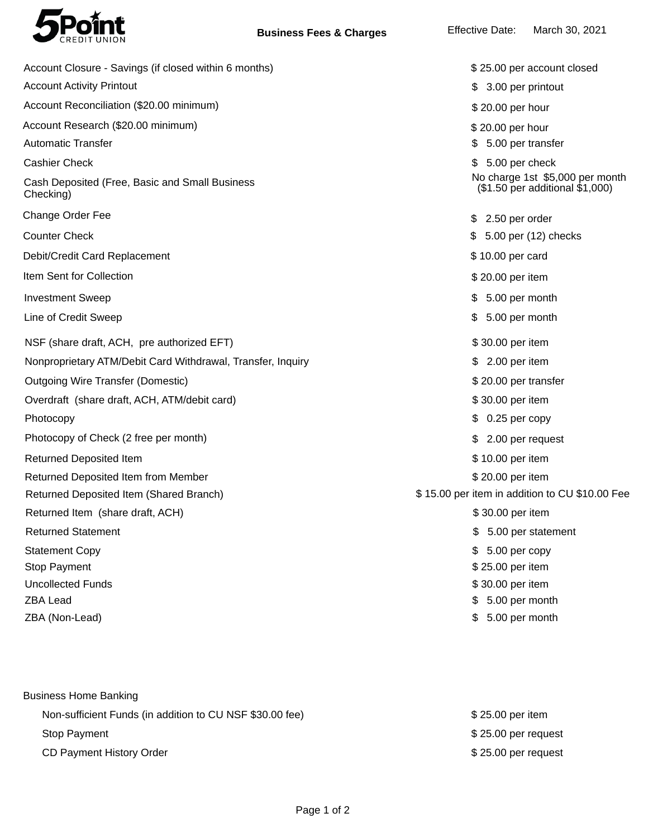

| \$25.00 per account closed                                         |
|--------------------------------------------------------------------|
| 3.00 per printout                                                  |
| \$20.00 per hour                                                   |
| \$20.00 per hour                                                   |
| 5.00 per transfer                                                  |
| 5.00 per check                                                     |
| No charge 1st \$5,000 per month<br>(\$1.50 per additional \$1,000) |
| $$2.50$ per order                                                  |
| \$ 5.00 per (12) checks                                            |
| \$10.00 per card                                                   |
| \$20.00 per item                                                   |
| 5.00 per month<br>S.                                               |
| 5.00 per month<br>\$                                               |
| \$30.00 per item                                                   |
| $$2.00$ per item                                                   |
| \$20.00 per transfer                                               |
| \$30.00 per item                                                   |
| 0.25 per copy                                                      |
| 2.00 per request                                                   |
| \$10.00 per item                                                   |
| \$20.00 per item                                                   |
| \$15.00 per item in addition to CU \$10.00 Fee                     |
| \$30.00 per item                                                   |
| \$<br>5.00 per statement                                           |
| 5.00 per copy<br>S                                                 |
| \$25.00 per item                                                   |
| \$30.00 per item                                                   |
| 5.00 per month<br>\$                                               |
| 5.00 per month                                                     |
|                                                                    |

| <b>Business Home Banking</b>                             |                      |
|----------------------------------------------------------|----------------------|
| Non-sufficient Funds (in addition to CU NSF \$30.00 fee) | \$25.00 per item     |
| <b>Stop Payment</b>                                      | $$25.00$ per request |
| CD Payment History Order                                 | $$25.00$ per request |